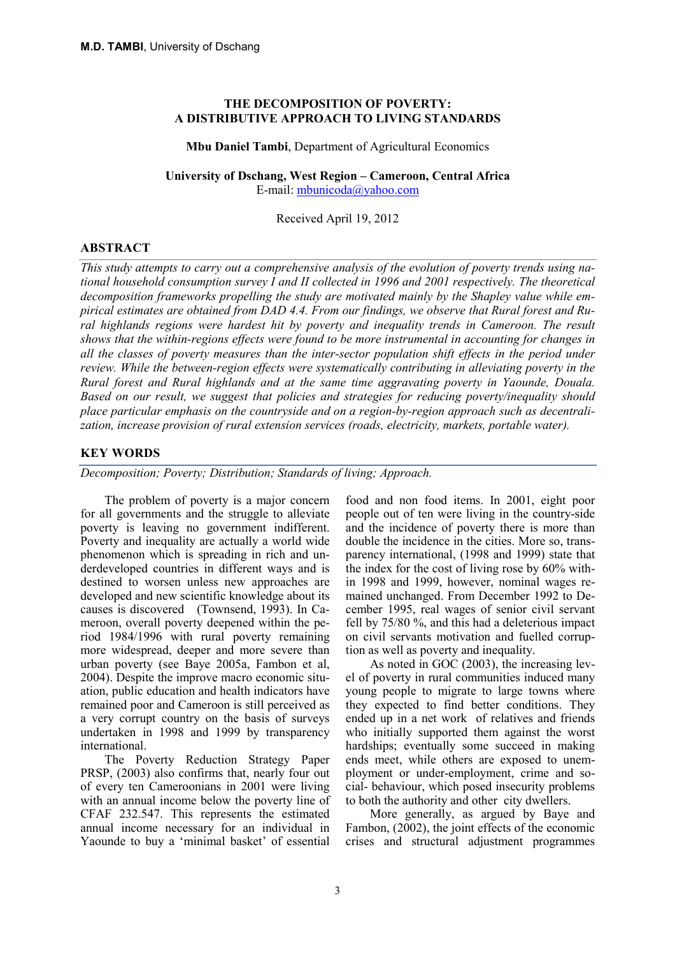# **THE DECOMPOSITION OF POVERTY: A DISTRIBUTIVE APPROACH TO LIVING STANDARDS**

#### **Mbu Daniel Tambi**, Department of Agricultural Economics

**University of Dschang, West Region – Cameroon, Central Africa**  E-mail: mbunicoda@yahoo.com

Received April 19, 2012

## **ABSTRACT**

*This study attempts to carry out a comprehensive analysis of the evolution of poverty trends using national household consumption survey I and II collected in 1996 and 2001 respectively. The theoretical decomposition frameworks propelling the study are motivated mainly by the Shapley value while empirical estimates are obtained from DAD 4.4. From our findings, we observe that Rural forest and Rural highlands regions were hardest hit by poverty and inequality trends in Cameroon. The result shows that the within-regions effects were found to be more instrumental in accounting for changes in all the classes of poverty measures than the inter-sector population shift effects in the period under review. While the between-region effects were systematically contributing in alleviating poverty in the Rural forest and Rural highlands and at the same time aggravating poverty in Yaounde, Douala. Based on our result, we suggest that policies and strategies for reducing poverty/inequality should place particular emphasis on the countryside and on a region-by-region approach such as decentralization, increase provision of rural extension services (roads, electricity, markets, portable water).* 

# **KEY WORDS**

*Decomposition; Poverty; Distribution; Standards of living; Approach.* 

The problem of poverty is a major concern for all governments and the struggle to alleviate poverty is leaving no government indifferent. Poverty and inequality are actually a world wide phenomenon which is spreading in rich and underdeveloped countries in different ways and is destined to worsen unless new approaches are developed and new scientific knowledge about its causes is discovered (Townsend, 1993). In Cameroon, overall poverty deepened within the period 1984/1996 with rural poverty remaining more widespread, deeper and more severe than urban poverty (see Baye 2005a, Fambon et al, 2004). Despite the improve macro economic situation, public education and health indicators have remained poor and Cameroon is still perceived as a very corrupt country on the basis of surveys undertaken in 1998 and 1999 by transparency international.

The Poverty Reduction Strategy Paper PRSP, (2003) also confirms that, nearly four out of every ten Cameroonians in 2001 were living with an annual income below the poverty line of CFAF 232.547. This represents the estimated annual income necessary for an individual in Yaounde to buy a 'minimal basket' of essential

food and non food items. In 2001, eight poor people out of ten were living in the country-side and the incidence of poverty there is more than double the incidence in the cities. More so, transparency international, (1998 and 1999) state that the index for the cost of living rose by 60% within 1998 and 1999, however, nominal wages remained unchanged. From December 1992 to December 1995, real wages of senior civil servant fell by 75/80 %, and this had a deleterious impact on civil servants motivation and fuelled corruption as well as poverty and inequality.

As noted in GOC (2003), the increasing level of poverty in rural communities induced many young people to migrate to large towns where they expected to find better conditions. They ended up in a net work of relatives and friends who initially supported them against the worst hardships; eventually some succeed in making ends meet, while others are exposed to unemployment or under-employment, crime and social- behaviour, which posed insecurity problems to both the authority and other city dwellers.

More generally, as argued by Baye and Fambon, (2002), the joint effects of the economic crises and structural adjustment programmes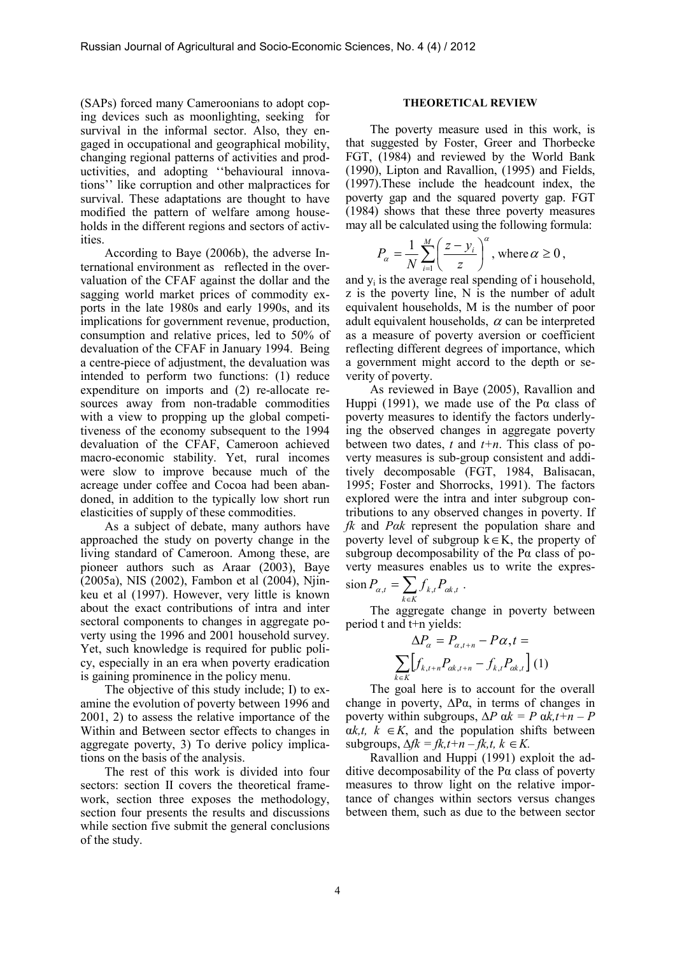(SAPs) forced many Cameroonians to adopt coping devices such as moonlighting, seeking for survival in the informal sector. Also, they engaged in occupational and geographical mobility, changing regional patterns of activities and productivities, and adopting ''behavioural innovations'' like corruption and other malpractices for survival. These adaptations are thought to have modified the pattern of welfare among households in the different regions and sectors of activities.

According to Baye (2006b), the adverse International environment as reflected in the overvaluation of the CFAF against the dollar and the sagging world market prices of commodity exports in the late 1980s and early 1990s, and its implications for government revenue, production, consumption and relative prices, led to 50% of devaluation of the CFAF in January 1994. Being a centre-piece of adjustment, the devaluation was intended to perform two functions: (1) reduce expenditure on imports and (2) re-allocate resources away from non-tradable commodities with a view to propping up the global competitiveness of the economy subsequent to the 1994 devaluation of the CFAF, Cameroon achieved macro-economic stability. Yet, rural incomes were slow to improve because much of the acreage under coffee and Cocoa had been abandoned, in addition to the typically low short run elasticities of supply of these commodities.

As a subject of debate, many authors have approached the study on poverty change in the living standard of Cameroon. Among these, are pioneer authors such as Araar (2003), Baye (2005a), NIS (2002), Fambon et al (2004), Njinkeu et al (1997). However, very little is known about the exact contributions of intra and inter sectoral components to changes in aggregate poverty using the 1996 and 2001 household survey. Yet, such knowledge is required for public policy, especially in an era when poverty eradication is gaining prominence in the policy menu.

The objective of this study include; I) to examine the evolution of poverty between 1996 and 2001, 2) to assess the relative importance of the Within and Between sector effects to changes in aggregate poverty, 3) To derive policy implications on the basis of the analysis.

The rest of this work is divided into four sectors: section II covers the theoretical framework, section three exposes the methodology, section four presents the results and discussions while section five submit the general conclusions of the study.

#### **THEORETICAL REVIEW**

The poverty measure used in this work, is that suggested by Foster, Greer and Thorbecke FGT, (1984) and reviewed by the World Bank (1990), Lipton and Ravallion, (1995) and Fields, (1997).These include the headcount index, the poverty gap and the squared poverty gap. FGT (1984) shows that these three poverty measures may all be calculated using the following formula:

$$
P_{\alpha} = \frac{1}{N} \sum_{i=1}^{M} \left( \frac{z - y_i}{z} \right)^{\alpha}, \text{ where } \alpha \ge 0,
$$

and  $y_i$  is the average real spending of i household, z is the poverty line, N is the number of adult equivalent households, M is the number of poor adult equivalent households,  $\alpha$  can be interpreted as a measure of poverty aversion or coefficient reflecting different degrees of importance, which a government might accord to the depth or severity of poverty.

As reviewed in Baye (2005), Ravallion and Huppi (1991), we made use of the P $\alpha$  class of poverty measures to identify the factors underlying the observed changes in aggregate poverty between two dates, *t* and *t+n*. This class of poverty measures is sub-group consistent and additively decomposable (FGT, 1984, Balisacan, 1995; Foster and Shorrocks, 1991). The factors explored were the intra and inter subgroup contributions to any observed changes in poverty. If *fk* and *Pαk* represent the population share and poverty level of subgroup k∈K, the property of subgroup decomposability of the P $\alpha$  class of poverty measures enables us to write the expres-

$$
sion P_{\alpha,t} = \sum_{k \in K} f_{k,t} P_{\alpha k,t} .
$$

The aggregate change in poverty between period t and t+n yields:

$$
\Delta P_{\alpha} = P_{\alpha, t+n} - P\alpha, t =
$$

$$
\sum_{k \in K} \left[ f_{k, t+n} P_{\alpha k, t+n} - f_{k, t} P_{\alpha k, t} \right] (1)
$$

The goal here is to account for the overall change in poverty,  $ΔPα$ , in terms of changes in poverty within subgroups,  $\Delta P$   $\alpha k = P$   $\alpha k, t+n-P$  $\alpha k, t, k \in K$ , and the population shifts between subgroups,  $\Delta f k = f k, t + n - f k, t, k \in K$ .

Ravallion and Huppi (1991) exploit the additive decomposability of the P $\alpha$  class of poverty measures to throw light on the relative importance of changes within sectors versus changes between them, such as due to the between sector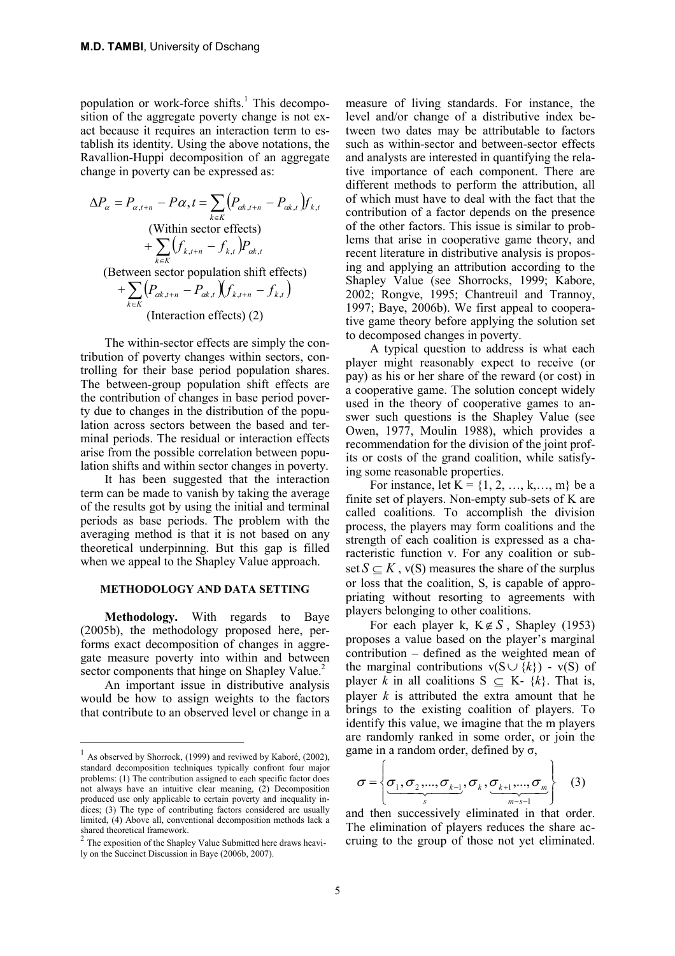population or work-force shifts.<sup>1</sup> This decomposition of the aggregate poverty change is not exact because it requires an interaction term to establish its identity. Using the above notations, the Ravallion-Huppi decomposition of an aggregate change in poverty can be expressed as:

$$
\Delta P_{\alpha} = P_{\alpha,t+n} - P\alpha, t = \sum_{k \in K} (P_{\alpha k,t+n} - P_{\alpha k,t}) f_{k,t}
$$
  
(Within sector effects)  
+ 
$$
\sum_{k \in K} (f_{k,t+n} - f_{k,t}) P_{\alpha k,t}
$$

(Between sector population shift effects)

$$
+\sum_{k\in K} \left(P_{\alpha k,t+n} - P_{\alpha k,t}\right) \left(f_{k,t+n} - f_{k,t}\right)
$$
\n(Interaction effects)

\n(2)

The within-sector effects are simply the contribution of poverty changes within sectors, controlling for their base period population shares. The between-group population shift effects are the contribution of changes in base period poverty due to changes in the distribution of the population across sectors between the based and terminal periods. The residual or interaction effects arise from the possible correlation between population shifts and within sector changes in poverty.

It has been suggested that the interaction term can be made to vanish by taking the average of the results got by using the initial and terminal periods as base periods. The problem with the averaging method is that it is not based on any theoretical underpinning. But this gap is filled when we appeal to the Shapley Value approach.

### **METHODOLOGY AND DATA SETTING**

**Methodology.** With regards to Baye (2005b), the methodology proposed here, performs exact decomposition of changes in aggregate measure poverty into within and between sector components that hinge on Shapley Value.<sup>2</sup>

An important issue in distributive analysis would be how to assign weights to the factors that contribute to an observed level or change in a

 $\overline{a}$ 

measure of living standards. For instance, the level and/or change of a distributive index between two dates may be attributable to factors such as within-sector and between-sector effects and analysts are interested in quantifying the relative importance of each component. There are different methods to perform the attribution, all of which must have to deal with the fact that the contribution of a factor depends on the presence of the other factors. This issue is similar to problems that arise in cooperative game theory, and recent literature in distributive analysis is proposing and applying an attribution according to the Shapley Value (see Shorrocks, 1999; Kabore, 2002; Rongve, 1995; Chantreuil and Trannoy, 1997; Baye, 2006b). We first appeal to cooperative game theory before applying the solution set to decomposed changes in poverty.

A typical question to address is what each player might reasonably expect to receive (or pay) as his or her share of the reward (or cost) in a cooperative game. The solution concept widely used in the theory of cooperative games to answer such questions is the Shapley Value (see Owen, 1977, Moulin 1988), which provides a recommendation for the division of the joint profits or costs of the grand coalition, while satisfying some reasonable properties.

For instance, let  $K = \{1, 2, ..., k, ..., m\}$  be a finite set of players. Non-empty sub-sets of K are called coalitions. To accomplish the division process, the players may form coalitions and the strength of each coalition is expressed as a characteristic function v. For any coalition or subset  $S \subseteq K$ , v(S) measures the share of the surplus or loss that the coalition, S, is capable of appropriating without resorting to agreements with players belonging to other coalitions.

For each player k, K∉*S* , Shapley (1953) proposes a value based on the player's marginal contribution – defined as the weighted mean of the marginal contributions  $v(S \cup \{k\})$  -  $v(S)$  of player *k* in all coalitions  $S \subseteq K - \{k\}$ . That is, player *k* is attributed the extra amount that he brings to the existing coalition of players. To identify this value, we imagine that the m players are randomly ranked in some order, or join the game in a random order, defined by  $\sigma$ ,

$$
\sigma = \left\{ \underbrace{\sigma_1, \sigma_2, ..., \sigma_{k-1}}_{s}, \sigma_k, \underbrace{\sigma_{k+1}, ..., \sigma_m}_{m-s-1} \right\} \quad (3)
$$

and then successively eliminated in that order. The elimination of players reduces the share accruing to the group of those not yet eliminated.

<sup>&</sup>lt;sup>1</sup> As observed by Shorrock, (1999) and reviwed by Kaboré, (2002), standard decomposition techniques typically confront four major problems: (1) The contribution assigned to each specific factor does not always have an intuitive clear meaning, (2) Decomposition produced use only applicable to certain poverty and inequality indices; (3) The type of contributing factors considered are usually limited, (4) Above all, conventional decomposition methods lack a shared theoretical framework.

 $2$  The exposition of the Shapley Value Submitted here draws heavily on the Succinct Discussion in Baye (2006b, 2007).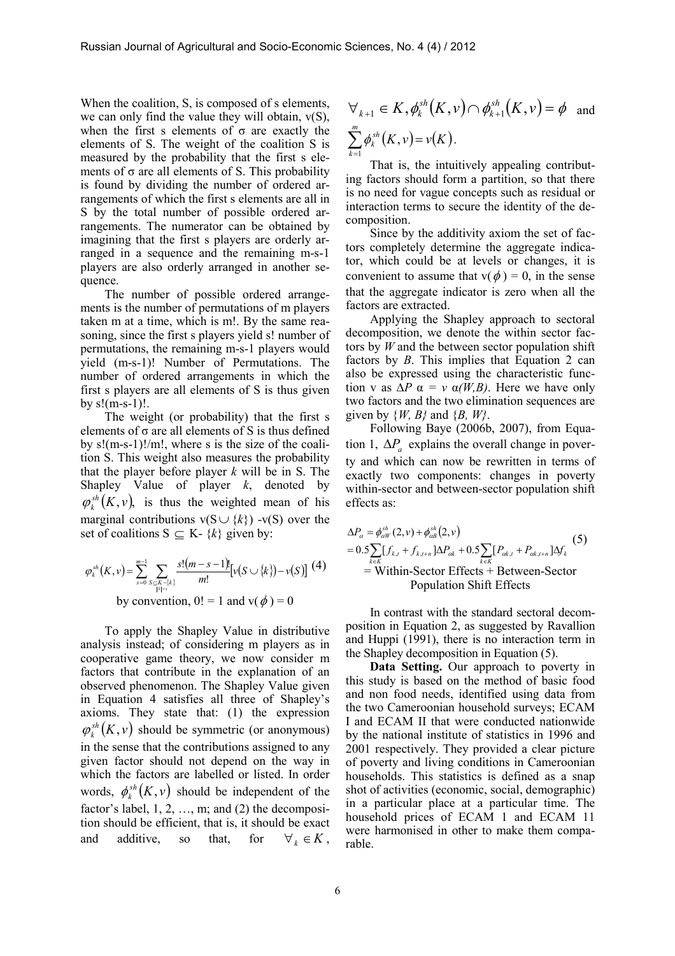When the coalition, S, is composed of s elements, we can only find the value they will obtain,  $v(S)$ , when the first s elements of  $\sigma$  are exactly the elements of S. The weight of the coalition S is measured by the probability that the first s elements of  $\sigma$  are all elements of S. This probability is found by dividing the number of ordered arrangements of which the first s elements are all in S by the total number of possible ordered arrangements. The numerator can be obtained by imagining that the first s players are orderly arranged in a sequence and the remaining m-s-1 players are also orderly arranged in another sequence.

The number of possible ordered arrangements is the number of permutations of m players taken m at a time, which is m!. By the same reasoning, since the first s players yield s! number of permutations, the remaining m-s-1 players would yield (m-s-1)! Number of Permutations. The number of ordered arrangements in which the first s players are all elements of S is thus given by  $s!(m-s-1)!$ .

The weight (or probability) that the first s elements of  $\sigma$  are all elements of S is thus defined by s!(m-s-1)!/m!, where s is the size of the coalition S. This weight also measures the probability that the player before player *k* will be in S. The Shapley Value of player *k*, denoted by  $\varphi_k^{sh}(K, v)$ , is thus the weighted mean of his marginal contributions  $v(S \cup \{k\})$  -v(S) over the set of coalitions  $S \subseteq K - \{k\}$  given by:

$$
\varphi_k^{sh}(K, v) = \sum_{s=0}^{m-1} \sum_{\substack{S \subseteq K - \{k\} \\ |S| = s}} \frac{s!(m - s - 1)!}{m!} [v(S \cup \{k\}) - v(S)] \tag{4}
$$
\nby convention,  $0! = 1$  and  $v(\phi) = 0$ 

To apply the Shapley Value in distributive analysis instead; of considering m players as in cooperative game theory, we now consider m factors that contribute in the explanation of an observed phenomenon. The Shapley Value given in Equation 4 satisfies all three of Shapley's axioms. They state that: (1) the expression  $\varphi_k^{sh}(K, v)$  should be symmetric (or anonymous) in the sense that the contributions assigned to any given factor should not depend on the way in which the factors are labelled or listed. In order words,  $\phi_k^{sh}(K, v)$  should be independent of the factor's label,  $1, 2, \ldots, m$ ; and  $(2)$  the decomposition should be efficient, that is, it should be exact and additive, so that, for  $\forall_k \in K$ ,

$$
\forall_{k+1} \in K, \phi_k^{sh}(K, v) \cap \phi_{k+1}^{sh}(K, v) = \phi \text{ and}
$$

$$
\sum_{k=1}^m \phi_k^{sh}(K, v) = v(K).
$$

That is, the intuitively appealing contributing factors should form a partition, so that there is no need for vague concepts such as residual or interaction terms to secure the identity of the decomposition.

Since by the additivity axiom the set of factors completely determine the aggregate indicator, which could be at levels or changes, it is convenient to assume that  $v(\phi) = 0$ , in the sense that the aggregate indicator is zero when all the factors are extracted.

Applying the Shapley approach to sectoral decomposition, we denote the within sector factors by *W* and the between sector population shift factors by *B*. This implies that Equation 2 can also be expressed using the characteristic function v as  $\Delta P \alpha = v \alpha / W, B$ . Here we have only two factors and the two elimination sequences are given by  $\{W, B\}$  and  $\{B, W\}$ .

Following Baye (2006b, 2007), from Equation 1,  $\Delta P_a$  explains the overall change in poverty and which can now be rewritten in terms of exactly two components: changes in poverty within-sector and between-sector population shift effects as:

$$
\Delta P_{\alpha} = \phi_{\alpha W}^{sh}(2, v) + \phi_{\alpha B}^{sh}(2, v)
$$
  
= 0.5 $\sum_{k \in K}$  [ $f_{k,t} + f_{k,t+n}$ ]  $\Delta P_{\alpha k} + 0.5\sum_{k \in K}$  [ $P_{\alpha k,t} + P_{\alpha k,t+n}$ ]  $\Delta f_k$  (5)  
= Within-Sector Effects + Between-Sector  
Population Shift Effects

In contrast with the standard sectoral decomposition in Equation 2, as suggested by Ravallion and Huppi (1991), there is no interaction term in the Shapley decomposition in Equation (5).

**Data Setting.** Our approach to poverty in this study is based on the method of basic food and non food needs, identified using data from the two Cameroonian household surveys; ECAM I and ECAM II that were conducted nationwide by the national institute of statistics in 1996 and 2001 respectively. They provided a clear picture of poverty and living conditions in Cameroonian households. This statistics is defined as a snap shot of activities (economic, social, demographic) in a particular place at a particular time. The household prices of ECAM 1 and ECAM 11 were harmonised in other to make them comparable.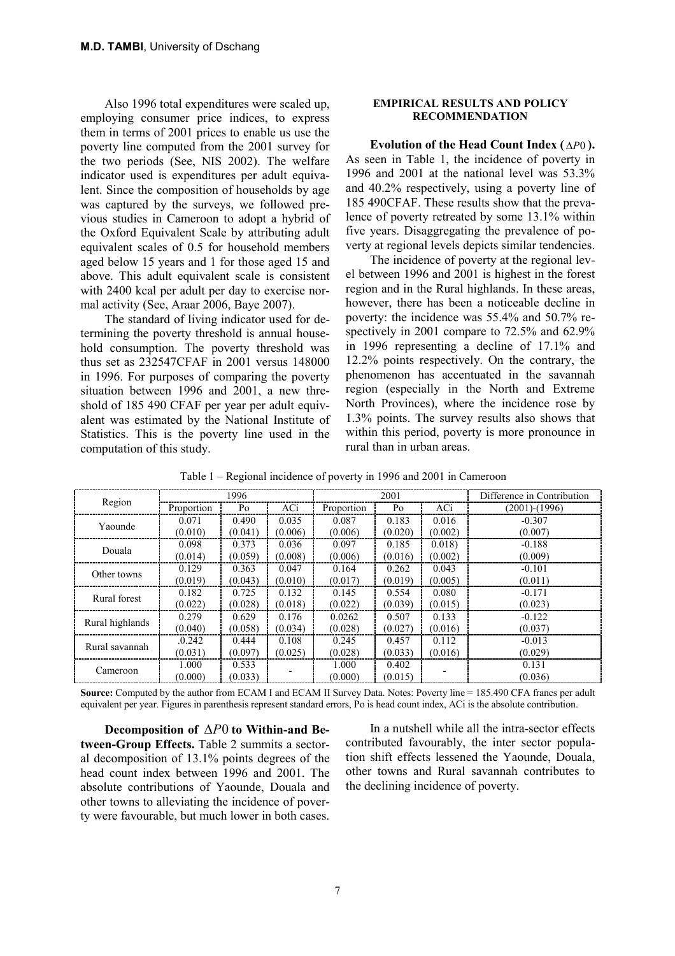Also 1996 total expenditures were scaled up, employing consumer price indices, to express them in terms of 2001 prices to enable us use the poverty line computed from the 2001 survey for the two periods (See, NIS 2002). The welfare indicator used is expenditures per adult equivalent. Since the composition of households by age was captured by the surveys, we followed previous studies in Cameroon to adopt a hybrid of the Oxford Equivalent Scale by attributing adult equivalent scales of 0.5 for household members aged below 15 years and 1 for those aged 15 and above. This adult equivalent scale is consistent with 2400 kcal per adult per day to exercise normal activity (See, Araar 2006, Baye 2007).

The standard of living indicator used for determining the poverty threshold is annual household consumption. The poverty threshold was thus set as 232547CFAF in 2001 versus 148000 in 1996. For purposes of comparing the poverty situation between 1996 and 2001, a new threshold of 185 490 CFAF per year per adult equivalent was estimated by the National Institute of Statistics. This is the poverty line used in the computation of this study.

## **EMPIRICAL RESULTS AND POLICY RECOMMENDATION**

# **Evolution of the Head Count Index (** ∆*P*0 **).**

As seen in Table 1, the incidence of poverty in 1996 and 2001 at the national level was 53.3% and 40.2% respectively, using a poverty line of 185 490CFAF. These results show that the prevalence of poverty retreated by some 13.1% within five years. Disaggregating the prevalence of poverty at regional levels depicts similar tendencies.

The incidence of poverty at the regional level between 1996 and 2001 is highest in the forest region and in the Rural highlands. In these areas, however, there has been a noticeable decline in poverty: the incidence was 55.4% and 50.7% respectively in 2001 compare to 72.5% and 62.9% in 1996 representing a decline of 17.1% and 12.2% points respectively. On the contrary, the phenomenon has accentuated in the savannah region (especially in the North and Extreme North Provinces), where the incidence rose by 1.3% points. The survey results also shows that within this period, poverty is more pronounce in rural than in urban areas.

|                 | 1996       |         | 2001    |            |         | Difference in Contribution |                     |
|-----------------|------------|---------|---------|------------|---------|----------------------------|---------------------|
| Region          | Proportion | Po      | ACi     | Proportion | Po      | ACi                        | $(2001)$ - $(1996)$ |
|                 | 0.071      | 0.490   | 0.035   | 0.087      | 0.183   | 0.016                      | $-0.307$            |
| Yaounde         | (0.010)    | (0.041) | (0.006) | (0.006)    | (0.020) | (0.002)                    | (0.007)             |
| Douala          | 0.098      | 0.373   | 0.036   | 0.097      | 0.185   | 0.018                      | $-0.188$            |
|                 | (0.014)    | (0.059) | (0.008) | (0.006)    | (0.016) | (0.002)                    | (0.009)             |
| Other towns     | 0.129      | 0.363   | 0.047   | 0.164      | 0.262   | 0.043                      | $-0.101$            |
|                 | (0.019)    | (0.043) | (0.010) | (0.017)    | (0.019) | (0.005)                    | (0.011)             |
| Rural forest    | 0.182      | 0.725   | 0.132   | 0.145      | 0.554   | 0.080                      | $-0.171$            |
|                 | (0.022)    | (0.028) | (0.018) | (0.022)    | (0.039) | (0.015)                    | (0.023)             |
| Rural highlands | 0.279      | 0.629   | 0.176   | 0.0262     | 0.507   | 0.133                      | $-0.122$            |
|                 | (0.040)    | (0.058) | (0.034) | (0.028)    | (0.027) | (0.016)                    | (0.037)             |
| Rural savannah  | .0.242     | 0.444   | 0.108   | 0.245      | 0.457   | 0.112                      | $-0.013$            |
|                 | (0.031)    | (0.097) | (0.025) | (0.028)    | (0.033) | (0.016)                    | (0.029)             |
| Cameroon        | 1.000      | 0.533   |         | 1.000      | 0.402   |                            | 0.131               |
|                 | (0.000)    | (0.033) |         | (0.000)    | (0.015) |                            | (0.036)             |

Table 1 – Regional incidence of poverty in 1996 and 2001 in Cameroon

**Source:** Computed by the author from ECAM I and ECAM II Survey Data. Notes: Poverty line = 185.490 CFA francs per adult equivalent per year. Figures in parenthesis represent standard errors, Po is head count index, ACi is the absolute contribution.

**Decomposition of** ∆*P*0 **to Within-and Between-Group Effects.** Table 2 summits a sectoral decomposition of 13.1% points degrees of the head count index between 1996 and 2001. The absolute contributions of Yaounde, Douala and other towns to alleviating the incidence of poverty were favourable, but much lower in both cases.

In a nutshell while all the intra-sector effects contributed favourably, the inter sector population shift effects lessened the Yaounde, Douala, other towns and Rural savannah contributes to the declining incidence of poverty.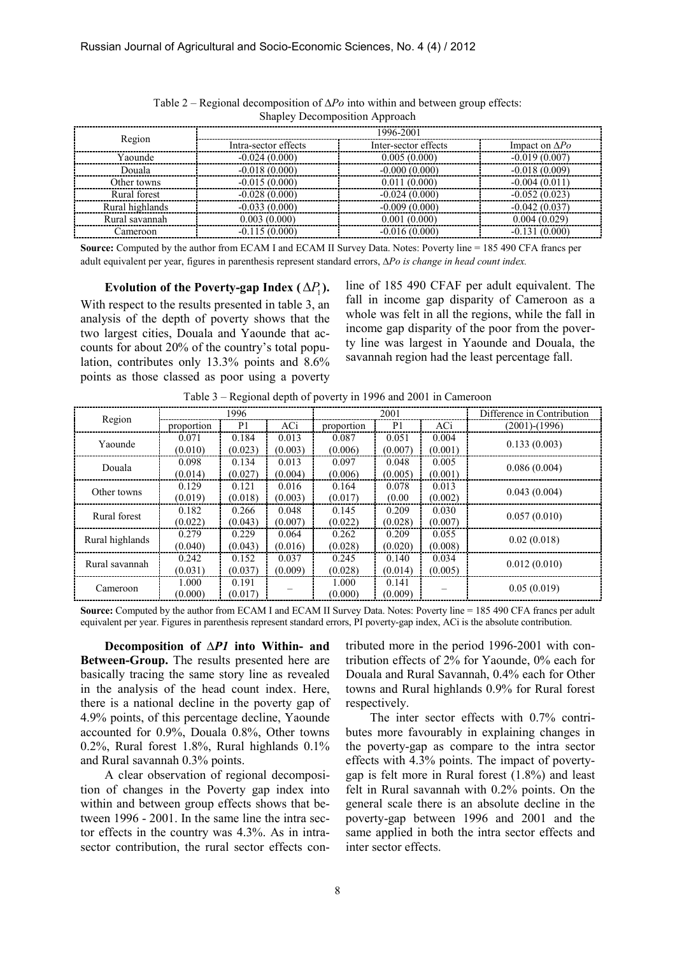|                 | 1996-2001            |                      |                       |  |  |  |  |  |
|-----------------|----------------------|----------------------|-----------------------|--|--|--|--|--|
| Region          | Intra-sector effects | Inter-sector effects | Impact on $\Delta Po$ |  |  |  |  |  |
| Yaounde         | $-0.024(0.000)$      | 0.005(0.000)         | $-0.019(0.007)$       |  |  |  |  |  |
| Douala          | $-0.018(0.000)$      | $-0.000(0.000)$      | $-0.018(0.009)$       |  |  |  |  |  |
| Other towns     | $-0.015(0.000)$      | 0.011(0.000)         | $-0.004(0.011)$       |  |  |  |  |  |
| Rural forest    | $-0.028(0.000)$      | $-0.024(0.000)$      | $-0.052(0.023)$       |  |  |  |  |  |
| Rural highlands | $-0.033(0.000)$      | $-0.009(0.000)$      | $-0.042(0.037)$       |  |  |  |  |  |
| Rural savannah  | 0.003(0.000)         | 0.001(0.000)         | 0.004(0.029)          |  |  |  |  |  |
| Cameroon        | $-0.115(0.000)$      | $-0.016(0.000)$      | $-0.131(0.000)$       |  |  |  |  |  |

Table 2 – Regional decomposition of ∆*Po* into within and between group effects: Shapley Decomposition Approach

**Source:** Computed by the author from ECAM I and ECAM II Survey Data. Notes: Poverty line = 185 490 CFA francs per adult equivalent per year, figures in parenthesis represent standard errors, ∆*Po is change in head count index.*

Evolution of the Poverty-gap Index  $(\Delta P_1)$ . With respect to the results presented in table 3, an analysis of the depth of poverty shows that the two largest cities, Douala and Yaounde that accounts for about 20% of the country's total population, contributes only 13.3% points and 8.6% points as those classed as poor using a poverty

line of 185 490 CFAF per adult equivalent. The fall in income gap disparity of Cameroon as a whole was felt in all the regions, while the fall in income gap disparity of the poor from the poverty line was largest in Yaounde and Douala, the savannah region had the least percentage fall.

|                 | 1996       |                |         | 2001       |         |         | Difference in Contribution |
|-----------------|------------|----------------|---------|------------|---------|---------|----------------------------|
| Region          | proportion | P <sub>1</sub> | ACi     | proportion | P1      | ACi     | $(2001)$ - $(1996)$        |
| Yaounde         | 0.071      | 0.184          | 0.013   | 0.087      | 0.051   | 0.004   | 0.133(0.003)               |
|                 | (0.010)    | (0.023)        | (0.003) | (0.006)    | (0.007) | (0.001) |                            |
| Douala          | 0.098      | 0.134          | 0.013   | 0.097      | 0.048   | 0.005   | 0.086(0.004)               |
|                 | (0.014)    | (0.027)        | (0.004) | (0.006)    | (0.005) | (0.001) |                            |
| Other towns     | 0.129      | 0.121          | 0.016   | 0.164      | 0.078   | 0.013   | 0.043(0.004)               |
|                 | (0.019)    | (0.018)        | (0.003) | (0.017)    | (0.00)  | (0.002) |                            |
| Rural forest    | 0.182      | 0.266          | 0.048   | 0.145      | 0.209   | 0.030   | 0.057(0.010)               |
|                 | (0.022)    | (0.043)        | (0.007) | (0.022)    | (0.028) | (0.007) |                            |
| Rural highlands | 0.279      | 0.229          | 0.064   | 0.262      | 0.209   | 0.055   | 0.02(0.018)                |
|                 | (0.040)    | (0.043)        | (0.016) | (0.028)    | (0.020) | (0.008) |                            |
| Rural savannah  | 0.242      | 0.152          | 0.037   | 0.245      | 0.140   | 0.034   | 0.012(0.010)               |
|                 | (0.031)    | (0.037)        | (0.009) | (0.028)    | (0.014) | (0.005) |                            |
| Cameroon        | 1.000      | 0.191          |         | 1.000      | 0.141   |         | 0.05(0.019)                |
|                 | (0.000)    | (0.017)        |         | (0.000)    | (0.009) |         |                            |

Table 3 – Regional depth of poverty in 1996 and 2001 in Cameroon

**Source:** Computed by the author from ECAM I and ECAM II Survey Data. Notes: Poverty line = 185 490 CFA francs per adult equivalent per year. Figures in parenthesis represent standard errors, PI poverty-gap index, ACi is the absolute contribution.

**Decomposition of ∆***P1* **into Within- and Between-Group.** The results presented here are basically tracing the same story line as revealed in the analysis of the head count index. Here, there is a national decline in the poverty gap of 4.9% points, of this percentage decline, Yaounde accounted for 0.9%, Douala 0.8%, Other towns 0.2%, Rural forest 1.8%, Rural highlands 0.1% and Rural savannah 0.3% points.

A clear observation of regional decomposition of changes in the Poverty gap index into within and between group effects shows that between 1996 - 2001. In the same line the intra sector effects in the country was 4.3%. As in intrasector contribution, the rural sector effects con-

tributed more in the period 1996-2001 with contribution effects of 2% for Yaounde, 0% each for Douala and Rural Savannah, 0.4% each for Other towns and Rural highlands 0.9% for Rural forest respectively.

The inter sector effects with 0.7% contributes more favourably in explaining changes in the poverty-gap as compare to the intra sector effects with 4.3% points. The impact of povertygap is felt more in Rural forest (1.8%) and least felt in Rural savannah with 0.2% points. On the general scale there is an absolute decline in the poverty-gap between 1996 and 2001 and the same applied in both the intra sector effects and inter sector effects.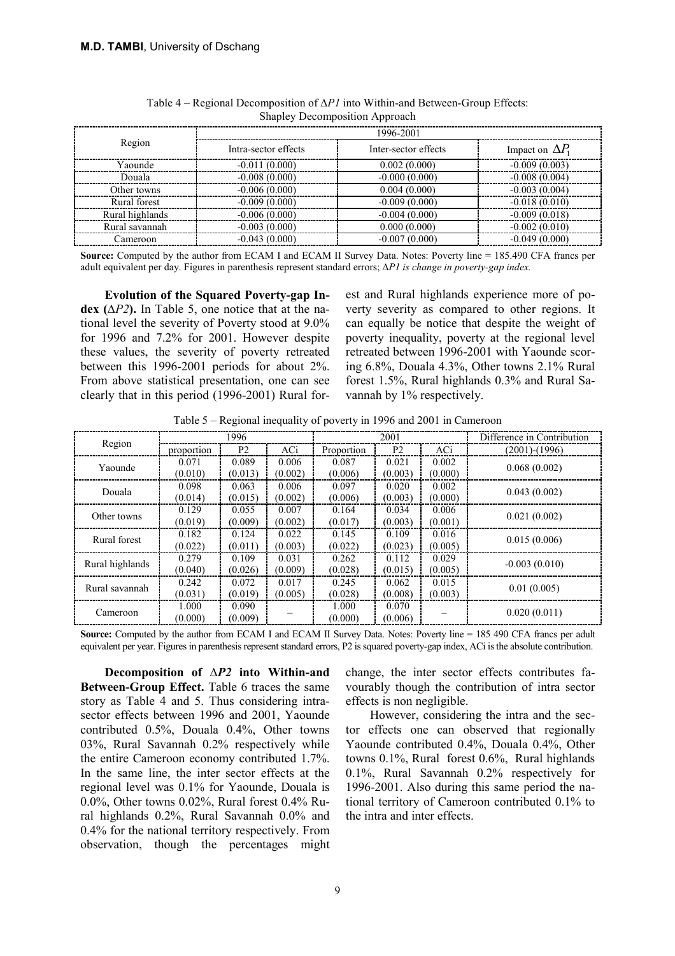|                 | 1996-2001            |                      |                        |  |  |  |  |  |
|-----------------|----------------------|----------------------|------------------------|--|--|--|--|--|
| Region          | Intra-sector effects | Inter-sector effects | Impact on $\Delta P_1$ |  |  |  |  |  |
| Yaounde         | $-0.011(0.000)$      | 0.002(0.000)         | $-0.009(0.003)$        |  |  |  |  |  |
| Douala          | $-0.008(0.000)$      | $-0.000(0.000)$      | $-0.008(0.004)$        |  |  |  |  |  |
| Other towns     | $-0.006(0.000)$      | 0.004(0.000)         | $-0.003(0.004)$        |  |  |  |  |  |
| Rural forest    | $-0.009(0.000)$      | $-0.009(0.000)$      | $-0.018(0.010)$        |  |  |  |  |  |
| Rural highlands | $-0.006(0.000)$      | $-0.004(0.000)$      | $-0.009(0.018)$        |  |  |  |  |  |
| Rural savannah  | $-0.003(0.000)$      | 0.000(0.000)         | $-0.002(0.010)$        |  |  |  |  |  |
| ∷ameroon        | $-0.043(0.000)$      | $-0.007(0.000)$      | $-0.049(0.000)$        |  |  |  |  |  |

Table 4 – Regional Decomposition of ∆*P1* into Within-and Between-Group Effects: Shapley Decomposition Approach

**Source:** Computed by the author from ECAM I and ECAM II Survey Data. Notes: Poverty line = 185.490 CFA francs per adult equivalent per day. Figures in parenthesis represent standard errors; ∆*P1 is change in poverty-gap index.*

**Evolution of the Squared Poverty-gap Index** ( $\Delta P2$ ). In Table 5, one notice that at the national level the severity of Poverty stood at 9.0% for 1996 and 7.2% for 2001. However despite these values, the severity of poverty retreated between this 1996-2001 periods for about 2%. From above statistical presentation, one can see clearly that in this period (1996-2001) Rural for-

est and Rural highlands experience more of poverty severity as compared to other regions. It can equally be notice that despite the weight of poverty inequality, poverty at the regional level retreated between 1996-2001 with Yaounde scoring 6.8%, Douala 4.3%, Other towns 2.1% Rural forest 1.5%, Rural highlands 0.3% and Rural Savannah by 1% respectively.

|                 | 1996       |                | 2001    |            |                | Difference in Contribution |                 |
|-----------------|------------|----------------|---------|------------|----------------|----------------------------|-----------------|
| Region          | proportion | P <sub>2</sub> | ACi     | Proportion | P <sub>2</sub> | ACi                        | $(2001)-(1996)$ |
| Yaounde         | 0.071      | 0.089          | 0.006   | 0.087      | 0.021          | 0.002                      |                 |
|                 | (0.010)    | (0.013)        | (0.002) | (0.006)    | (0.003)        | (0.000)                    | 0.068(0.002)    |
| Douala          | 0.098      | 0.063          | 0.006   | 0.097      | 0.020          | 0.002                      | 0.043(0.002)    |
|                 | (0.014)    | (0.015)        | (0.002) | (0.006)    | (0.003)        | (0.000)                    |                 |
|                 | 0.129      | 0.055          | 0.007   | 0.164      | 0.034          | 0.006                      | 0.021(0.002)    |
| Other towns     | (0.019)    | (0.009)        | (0.002) | (0.017)    | (0.003)        | (0.001)                    |                 |
| Rural forest    | 0.182      | 0.124          | 0.022   | 0.145      | 0.109          | 0.016                      | 0.015(0.006)    |
|                 | (0.022)    | (0.011)        | (0.003) | (0.022)    | (0.023)        | (0.005)                    |                 |
|                 | 0.279      | 0.109          | 0.031   | 0.262      | 0.112          | 0.029                      | $-0.003(0.010)$ |
| Rural highlands | (0.040)    | (0.026)        | (0.009) | (0.028)    | (0.015)        | (0.005)                    |                 |
| Rural savannah  | 0.242      | 0.072          | 0.017   | 0.245      | 0.062          | 0.015                      |                 |
|                 | (0.031)    | (0.019)        | (0.005) | (0.028)    | (0.008)        | (0.003)                    | 0.01(0.005)     |
| Cameroon        | 1.000      | 0.090          |         | 1.000      | 0.070          |                            |                 |
|                 | (0.000)    | (0.009)        |         | (0.000)    | (0.006)        |                            | 0.020(0.011)    |

Table 5 – Regional inequality of poverty in 1996 and 2001 in Cameroon

**Source:** Computed by the author from ECAM I and ECAM II Survey Data. Notes: Poverty line = 185 490 CFA francs per adult equivalent per year. Figures in parenthesis represent standard errors, P2 is squared poverty-gap index, ACi is the absolute contribution.

**Decomposition of ∆***P2* **into Within-and Between-Group Effect.** Table 6 traces the same story as Table 4 and 5. Thus considering intrasector effects between 1996 and 2001, Yaounde contributed 0.5%, Douala 0.4%, Other towns 03%, Rural Savannah 0.2% respectively while the entire Cameroon economy contributed 1.7%. In the same line, the inter sector effects at the regional level was 0.1% for Yaounde, Douala is 0.0%, Other towns 0.02%, Rural forest 0.4% Rural highlands 0.2%, Rural Savannah 0.0% and 0.4% for the national territory respectively. From observation, though the percentages might change, the inter sector effects contributes favourably though the contribution of intra sector effects is non negligible.

However, considering the intra and the sector effects one can observed that regionally Yaounde contributed 0.4%, Douala 0.4%, Other towns 0.1%, Rural forest 0.6%, Rural highlands 0.1%, Rural Savannah 0.2% respectively for 1996-2001. Also during this same period the national territory of Cameroon contributed 0.1% to the intra and inter effects.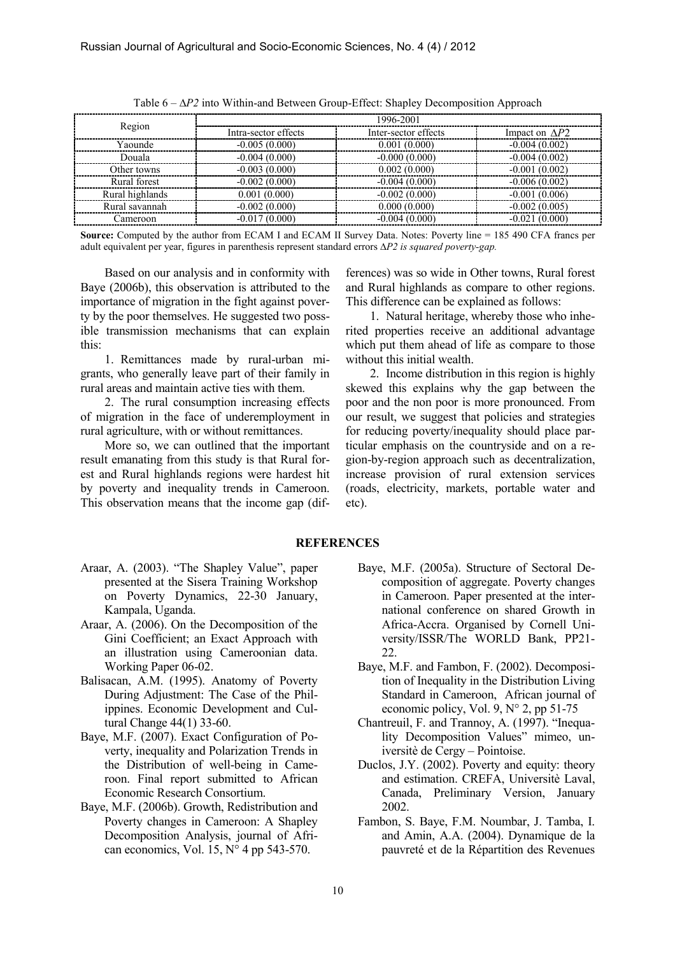|                 | 1996-2001            |                      |                       |  |  |  |  |  |
|-----------------|----------------------|----------------------|-----------------------|--|--|--|--|--|
| Region          | Intra-sector effects | Inter-sector effects | Impact on $\Delta P2$ |  |  |  |  |  |
| Yaounde         | $-0.005(0.000)$      | 0.001(0.000)         | $-0.004(0.002)$       |  |  |  |  |  |
| Douala          | $-0.004(0.000)$      | $-0.000(0.000)$      | $-0.004(0.002)$       |  |  |  |  |  |
| Other towns     | $-0.003(0.000)$      | 0.002(0.000)         | $-0.001(0.002)$       |  |  |  |  |  |
| Rural forest    | $-0.002(0.000)$      | $-0.004(0.000)$      | $-0.006(0.002)$       |  |  |  |  |  |
| Rural highlands | 0.001(0.000)         | $-0.002(0.000)$      | $-0.001(0.006)$       |  |  |  |  |  |
| Rural savannah  | $-0.002(0.000)$      | 0.000(0.000)         | $-0.002(0.005)$       |  |  |  |  |  |
| Cameroon        | $-0.017(0.000)$      | $-0.004(0.000)$      | $-0.021(0.000)$       |  |  |  |  |  |

Table 6 – ∆*P2* into Within-and Between Group-Effect: Shapley Decomposition Approach

**Source:** Computed by the author from ECAM I and ECAM II Survey Data. Notes: Poverty line = 185 490 CFA francs per adult equivalent per year, figures in parenthesis represent standard errors ∆*P2 is squared poverty-gap.*

Based on our analysis and in conformity with Baye (2006b), this observation is attributed to the importance of migration in the fight against poverty by the poor themselves. He suggested two possible transmission mechanisms that can explain this:

1. Remittances made by rural-urban migrants, who generally leave part of their family in rural areas and maintain active ties with them.

2. The rural consumption increasing effects of migration in the face of underemployment in rural agriculture, with or without remittances.

More so, we can outlined that the important result emanating from this study is that Rural forest and Rural highlands regions were hardest hit by poverty and inequality trends in Cameroon. This observation means that the income gap (differences) was so wide in Other towns, Rural forest and Rural highlands as compare to other regions. This difference can be explained as follows:

1. Natural heritage, whereby those who inherited properties receive an additional advantage which put them ahead of life as compare to those without this initial wealth.

2. Income distribution in this region is highly skewed this explains why the gap between the poor and the non poor is more pronounced. From our result, we suggest that policies and strategies for reducing poverty/inequality should place particular emphasis on the countryside and on a region-by-region approach such as decentralization, increase provision of rural extension services (roads, electricity, markets, portable water and etc).

## **REFERENCES**

- Araar, A. (2003). "The Shapley Value", paper presented at the Sisera Training Workshop on Poverty Dynamics, 22-30 January, Kampala, Uganda.
- Araar, A. (2006). On the Decomposition of the Gini Coefficient; an Exact Approach with an illustration using Cameroonian data. Working Paper 06-02.
- Balisacan, A.M. (1995). Anatomy of Poverty During Adjustment: The Case of the Philippines. Economic Development and Cultural Change 44(1) 33-60.
- Baye, M.F. (2007). Exact Configuration of Poverty, inequality and Polarization Trends in the Distribution of well-being in Cameroon. Final report submitted to African Economic Research Consortium.
- Baye, M.F. (2006b). Growth, Redistribution and Poverty changes in Cameroon: A Shapley Decomposition Analysis, journal of African economics, Vol. 15,  $N^{\circ}$  4 pp 543-570.
- Baye, M.F. (2005a). Structure of Sectoral Decomposition of aggregate. Poverty changes in Cameroon. Paper presented at the international conference on shared Growth in Africa-Accra. Organised by Cornell University/ISSR/The WORLD Bank, PP21- 22.
- Baye, M.F. and Fambon, F. (2002). Decomposition of Inequality in the Distribution Living Standard in Cameroon, African journal of economic policy, Vol. 9, N° 2, pp 51-75
- Chantreuil, F. and Trannoy, A. (1997). "Inequality Decomposition Values" mimeo, universitè de Cergy – Pointoise.
- Duclos, J.Y. (2002). Poverty and equity: theory and estimation. CREFA, Universitè Laval, Canada, Preliminary Version, January 2002.
- Fambon, S. Baye, F.M. Noumbar, J. Tamba, I. and Amin, A.A. (2004). Dynamique de la pauvreté et de la Répartition des Revenues